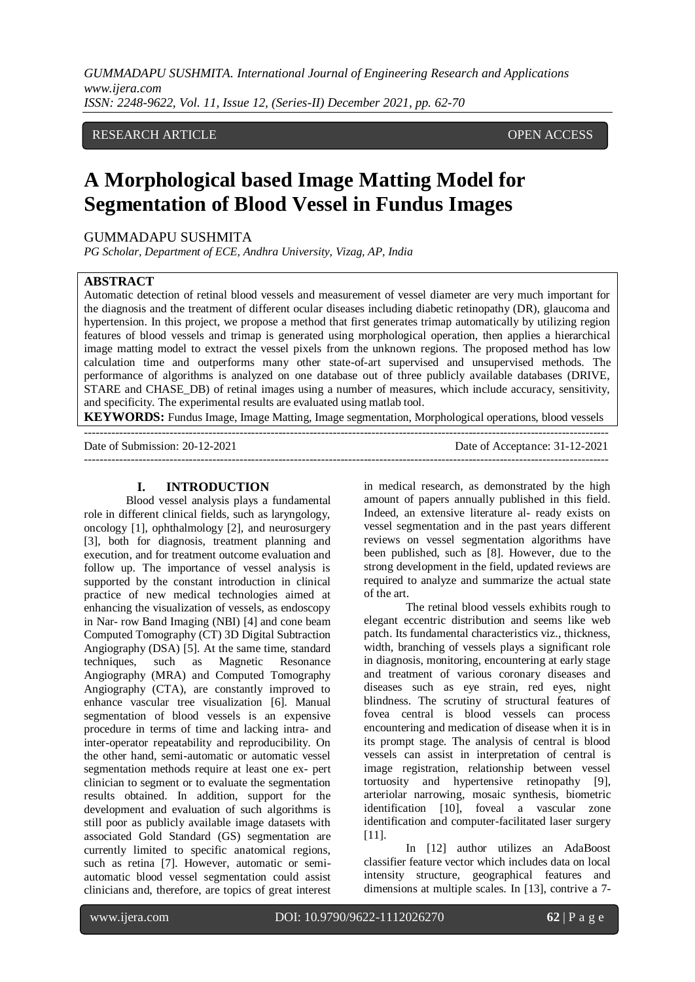RESEARCH ARTICLE OPEN ACCESS

# **A Morphological based Image Matting Model for Segmentation of Blood Vessel in Fundus Images**

# GUMMADAPU SUSHMITA

*PG Scholar, Department of ECE, Andhra University, Vizag, AP, India*

---------------------------------------------------------------------------------------------------------------------------------------

## **ABSTRACT**

Automatic detection of retinal blood vessels and measurement of vessel diameter are very much important for the diagnosis and the treatment of different ocular diseases including diabetic retinopathy (DR), glaucoma and hypertension. In this project, we propose a method that first generates trimap automatically by utilizing region features of blood vessels and trimap is generated using morphological operation, then applies a hierarchical image matting model to extract the vessel pixels from the unknown regions. The proposed method has low calculation time and outperforms many other state-of-art supervised and unsupervised methods. The performance of algorithms is analyzed on one database out of three publicly available databases (DRIVE, STARE and CHASE\_DB) of retinal images using a number of measures, which include accuracy, sensitivity, and specificity. The experimental results are evaluated using matlab tool.

**KEYWORDS:** Fundus Image, Image Matting, Image segmentation, Morphological operations, blood vessels

Date of Submission: 20-12-2021 Date of Acceptance: 31-12-2021 ---------------------------------------------------------------------------------------------------------------------------------------

## **I. INTRODUCTION**

Blood vessel analysis plays a fundamental role in different clinical fields, such as laryngology, oncology [1], ophthalmology [2], and neurosurgery [3], both for diagnosis, treatment planning and execution, and for treatment outcome evaluation and follow up. The importance of vessel analysis is supported by the constant introduction in clinical practice of new medical technologies aimed at enhancing the visualization of vessels, as endoscopy in Nar- row Band Imaging (NBI) [4] and cone beam Computed Tomography (CT) 3D Digital Subtraction Angiography (DSA) [5]. At the same time, standard techniques, such as Magnetic Resonance Angiography (MRA) and Computed Tomography Angiography (CTA), are constantly improved to enhance vascular tree visualization [6]. Manual segmentation of blood vessels is an expensive procedure in terms of time and lacking intra- and inter-operator repeatability and reproducibility. On the other hand, semi-automatic or automatic vessel segmentation methods require at least one ex- pert clinician to segment or to evaluate the segmentation results obtained. In addition, support for the development and evaluation of such algorithms is still poor as publicly available image datasets with associated Gold Standard (GS) segmentation are currently limited to specific anatomical regions, such as retina [7]. However, automatic or semiautomatic blood vessel segmentation could assist clinicians and, therefore, are topics of great interest in medical research, as demonstrated by the high amount of papers annually published in this field. Indeed, an extensive literature al- ready exists on vessel segmentation and in the past years different reviews on vessel segmentation algorithms have been published, such as [8]. However, due to the strong development in the field, updated reviews are required to analyze and summarize the actual state of the art.

The retinal blood vessels exhibits rough to elegant eccentric distribution and seems like web patch. Its fundamental characteristics viz., thickness, width, branching of vessels plays a significant role in diagnosis, monitoring, encountering at early stage and treatment of various coronary diseases and diseases such as eye strain, red eyes, night blindness. The scrutiny of structural features of fovea central is blood vessels can process encountering and medication of disease when it is in its prompt stage. The analysis of central is blood vessels can assist in interpretation of central is image registration, relationship between vessel tortuosity and hypertensive retinopathy [9], arteriolar narrowing, mosaic synthesis, biometric identification [10], foveal a vascular zone identification and computer-facilitated laser surgery [11].

In [12] author utilizes an AdaBoost classifier feature vector which includes data on local intensity structure, geographical features and dimensions at multiple scales. In [13], contrive a 7-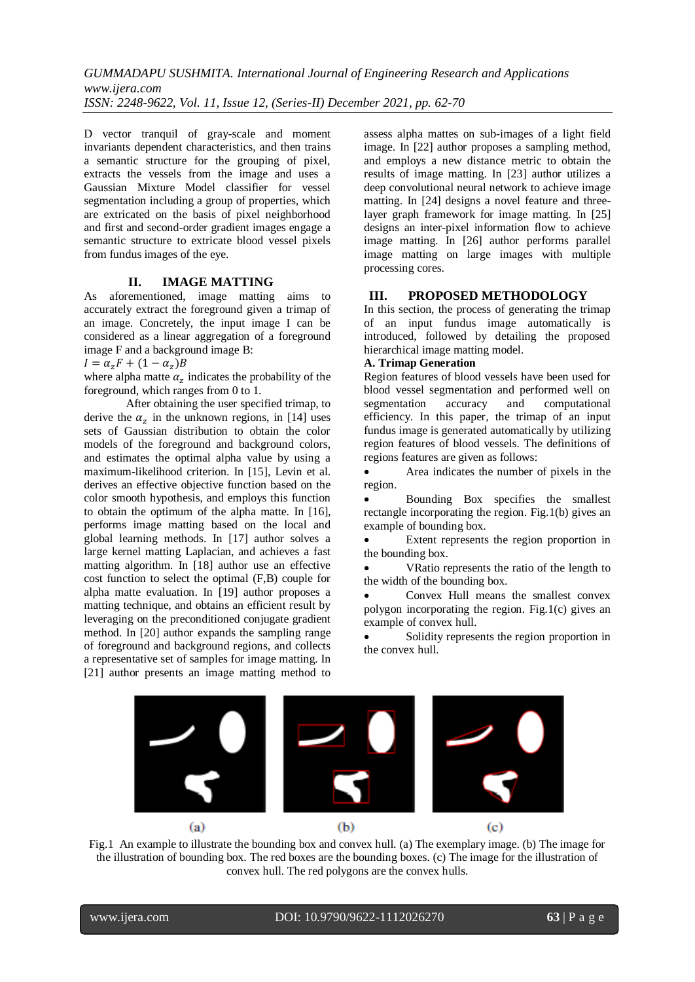D vector tranquil of gray-scale and moment invariants dependent characteristics, and then trains a semantic structure for the grouping of pixel, extracts the vessels from the image and uses a Gaussian Mixture Model classifier for vessel segmentation including a group of properties, which are extricated on the basis of pixel neighborhood and first and second-order gradient images engage a semantic structure to extricate blood vessel pixels from fundus images of the eye.

## **II. IMAGE MATTING**

As aforementioned, image matting aims to accurately extract the foreground given a trimap of an image. Concretely, the input image I can be considered as a linear aggregation of a foreground image F and a background image B:

 $I = \alpha_z F + (1 - \alpha_z)$ 

where alpha matte  $\alpha_z$  indicates the probability of the foreground, which ranges from 0 to 1.

After obtaining the user specified trimap, to derive the  $\alpha_z$  in the unknown regions, in [14] uses sets of Gaussian distribution to obtain the color models of the foreground and background colors, and estimates the optimal alpha value by using a maximum-likelihood criterion. In [15], Levin et al. derives an effective objective function based on the color smooth hypothesis, and employs this function to obtain the optimum of the alpha matte. In [16], performs image matting based on the local and global learning methods. In [17] author solves a large kernel matting Laplacian, and achieves a fast matting algorithm. In [18] author use an effective cost function to select the optimal (F,B) couple for alpha matte evaluation. In [19] author proposes a matting technique, and obtains an efficient result by leveraging on the preconditioned conjugate gradient method. In [20] author expands the sampling range of foreground and background regions, and collects a representative set of samples for image matting. In [21] author presents an image matting method to

assess alpha mattes on sub-images of a light field image. In [22] author proposes a sampling method, and employs a new distance metric to obtain the results of image matting. In [23] author utilizes a deep convolutional neural network to achieve image matting. In [24] designs a novel feature and threelayer graph framework for image matting. In [25] designs an inter-pixel information flow to achieve image matting. In [26] author performs parallel image matting on large images with multiple processing cores.

# **III. PROPOSED METHODOLOGY**

In this section, the process of generating the trimap of an input fundus image automatically is introduced, followed by detailing the proposed hierarchical image matting model.

# **A. Trimap Generation**

Region features of blood vessels have been used for blood vessel segmentation and performed well on segmentation accuracy and computational efficiency. In this paper, the trimap of an input fundus image is generated automatically by utilizing region features of blood vessels. The definitions of regions features are given as follows:

 Area indicates the number of pixels in the region.

 Bounding Box specifies the smallest rectangle incorporating the region. Fig.1(b) gives an example of bounding box.

 Extent represents the region proportion in the bounding box.

 VRatio represents the ratio of the length to the width of the bounding box.

 Convex Hull means the smallest convex polygon incorporating the region. Fig.1(c) gives an example of convex hull.

 Solidity represents the region proportion in the convex hull.



Fig.1 An example to illustrate the bounding box and convex hull. (a) The exemplary image. (b) The image for the illustration of bounding box. The red boxes are the bounding boxes. (c) The image for the illustration of convex hull. The red polygons are the convex hulls.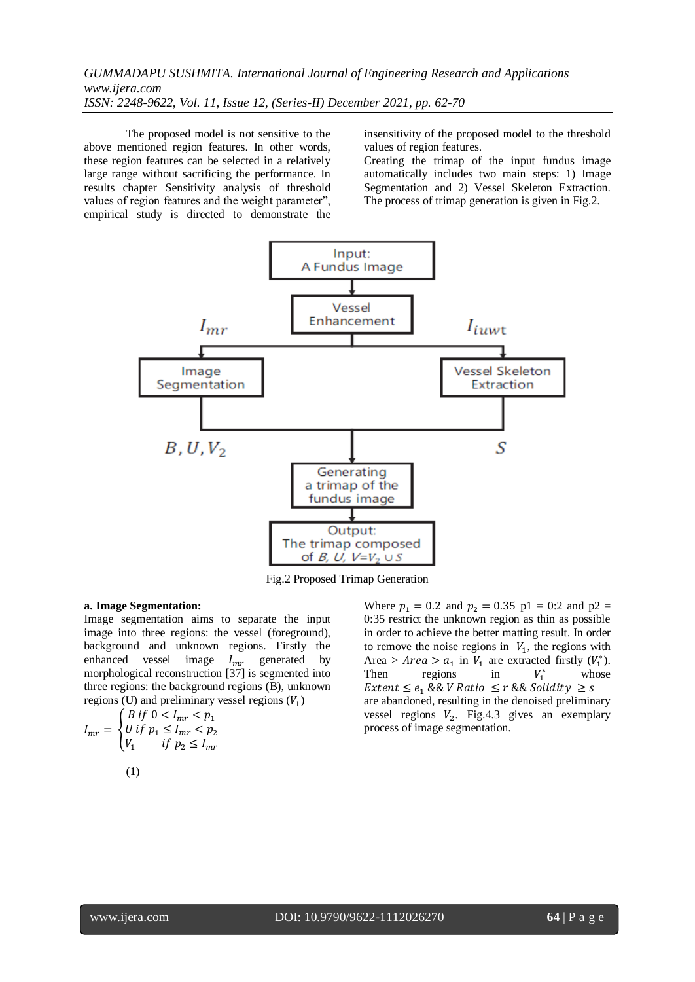The proposed model is not sensitive to the above mentioned region features. In other words, these region features can be selected in a relatively large range without sacrificing the performance. In results chapter Sensitivity analysis of threshold values of region features and the weight parameter", empirical study is directed to demonstrate the insensitivity of the proposed model to the threshold values of region features.

Creating the trimap of the input fundus image automatically includes two main steps: 1) Image Segmentation and 2) Vessel Skeleton Extraction. The process of trimap generation is given in Fig.2.



Fig.2 Proposed Trimap Generation

#### **a. Image Segmentation:**

Image segmentation aims to separate the input image into three regions: the vessel (foreground), background and unknown regions. Firstly the enhanced vessel image  $I_{mr}$  generated by morphological reconstruction  $\begin{bmatrix} 37 \end{bmatrix}$  is segmented into three regions: the background regions (B), unknown regions (U) and preliminary vessel regions  $(V_1)$ 

$$
I_{mr} = \begin{cases} B \text{ if } 0 < I_{mr} < p_1 \\ U \text{ if } p_1 \le I_{mr} < p_2 \\ V_1 & \text{ if } p_2 \le I_{mr} \end{cases}
$$
\n
$$
(1)
$$

Where  $p_1 = 0.2$  and  $p_2 = 0.35$  p1 = 0:2 and p2 = 0:35 restrict the unknown region as thin as possible in order to achieve the better matting result. In order to remove the noise regions in  $V_1$ , the regions with Area > Area >  $a_1$  in  $V_1$  are extracted firstly  $(V_1^*)$ . Then regions in  $V_1^*$  whose *Extent*  $\leq e_1 \&&V$  *Ratio*  $\leq r \&&S$ *s Solidity*  $\geq s$ are abandoned, resulting in the denoised preliminary vessel regions  $V_2$ . Fig. 4.3 gives an exemplary process of image segmentation.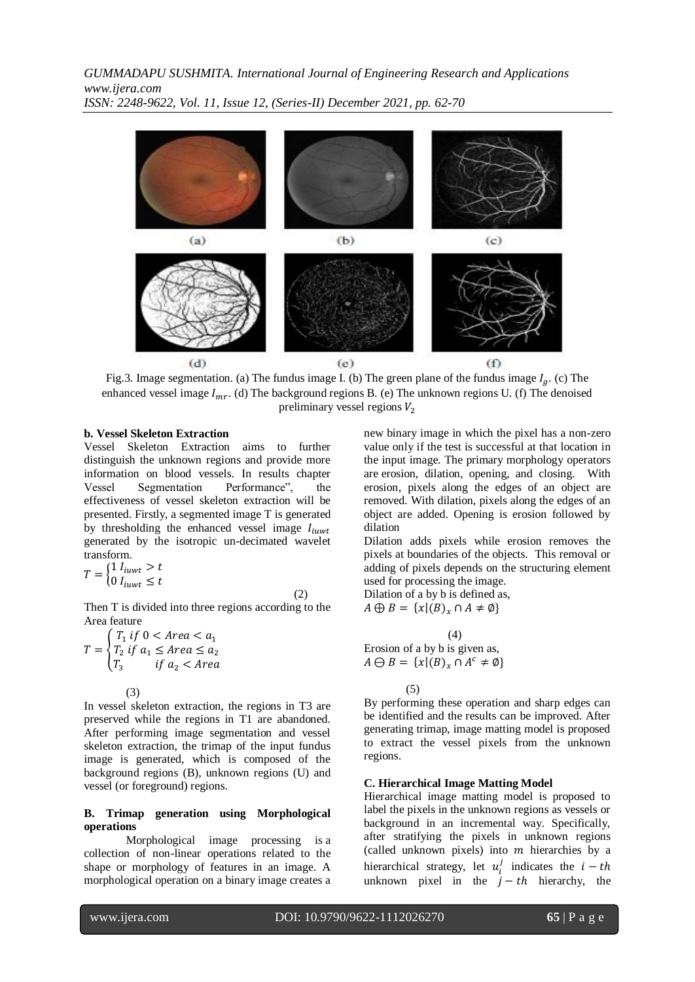

Fig.3. Image segmentation. (a) The fundus image I. (b) The green plane of the fundus image  $I_a$ . (c) The enhanced vessel image  $I_{mr}$ . (d) The background regions B. (e) The unknown regions U. (f) The denoised preliminary vessel regions  $V_2$ 

## **b. Vessel Skeleton Extraction**

Vessel Skeleton Extraction aims to further distinguish the unknown regions and provide more information on blood vessels. In results chapter Vessel Segmentation Performance", the effectiveness of vessel skeleton extraction will be presented. Firstly, a segmented image T is generated by thresholding the enhanced vessel image  $I_{iuvt}$ generated by the isotropic un-decimated wavelet transform.

$$
T = \begin{cases} 1 \ I_{iuvt} > t \\ 0 \ I_{iuvt} \leq t \end{cases} \tag{2}
$$

Then T is divided into three regions according to the Area feature

$$
T = \begin{cases} T_1 & \text{if } 0 < \text{Area} < a_1 \\ T_2 & \text{if } a_1 \leq \text{Area} \leq a_2 \\ T_3 & \text{if } a_2 < \text{Area} \end{cases}
$$

(3)

In vessel skeleton extraction, the regions in T3 are preserved while the regions in T1 are abandoned. After performing image segmentation and vessel skeleton extraction, the trimap of the input fundus image is generated, which is composed of the background regions (B), unknown regions (U) and vessel (or foreground) regions.

#### **B. Trimap generation using Morphological operations**

Morphological image processing is a collection of non-linear operations related to the shape or morphology of features in an image. A morphological operation on a binary image creates a new binary image in which the pixel has a non-zero value only if the test is successful at that location in the input image. The primary morphology operators are erosion, dilation, opening, and closing. With erosion, pixels along the edges of an object are removed. With dilation, pixels along the edges of an object are added. Opening is erosion followed by dilation

Dilation adds pixels while erosion removes the pixels at boundaries of the objects. This removal or adding of pixels depends on the structuring element used for processing the image.

Dilation of a by b is defined as,  $A \oplus B = \{x | (B)_x \cap A \neq \emptyset\}$ 

(4)  
\nErosion of a by b is given as,  
\n
$$
A \ominus B = \{x | (B)_x \cap A^c \neq \emptyset\}
$$

(5)

By performing these operation and sharp edges can be identified and the results can be improved. After generating trimap, image matting model is proposed to extract the vessel pixels from the unknown regions.

## **C. Hierarchical Image Matting Model**

Hierarchical image matting model is proposed to label the pixels in the unknown regions as vessels or background in an incremental way. Specifically, after stratifying the pixels in unknown regions (called unknown pixels) into  $m$  hierarchies by a hierarchical strategy, let  $u_i^j$  indicates the unknown pixel in the  $j-th$  hierarchy, the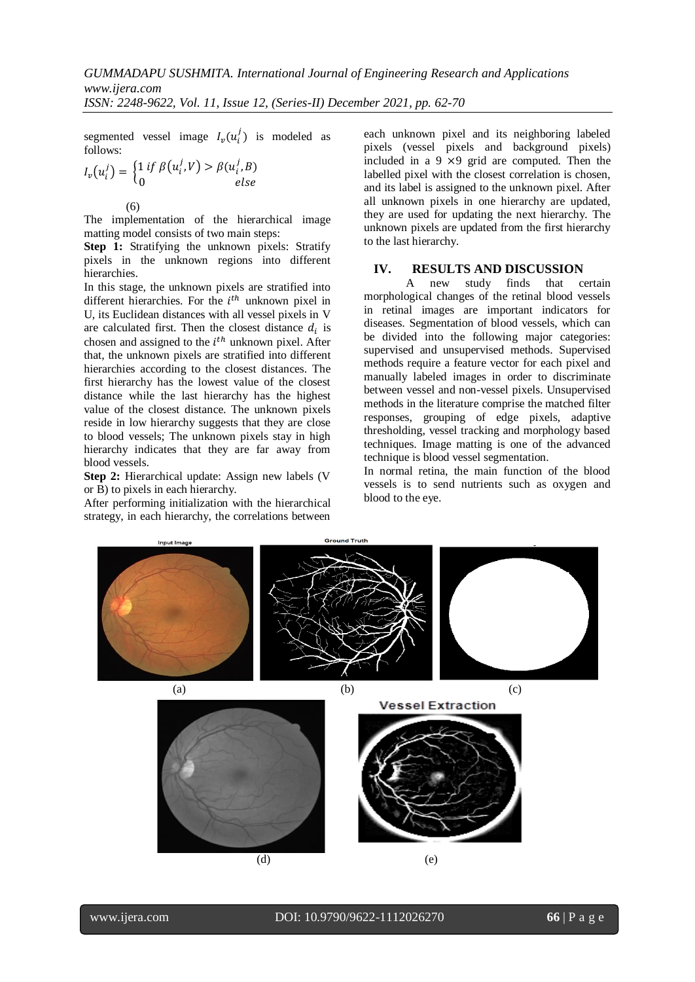segmented vessel image  $I_v(u_i^j)$  is modeled as follows:

$$
I_v(u_i^j) = \begin{cases} 1 \text{ if } \beta(u_i^j, V) > \beta(u_i^j, B) \\ 0 \text{ else} \end{cases}
$$

The implementation of the hierarchical image matting model consists of two main steps:

**Step 1:** Stratifying the unknown pixels: Stratify pixels in the unknown regions into different hierarchies.

In this stage, the unknown pixels are stratified into different hierarchies. For the  $i<sup>th</sup>$  unknown pixel in U, its Euclidean distances with all vessel pixels in V are calculated first. Then the closest distance  $d_i$  is chosen and assigned to the  $i<sup>th</sup>$  unknown pixel. After that, the unknown pixels are stratified into different hierarchies according to the closest distances. The first hierarchy has the lowest value of the closest distance while the last hierarchy has the highest value of the closest distance. The unknown pixels reside in low hierarchy suggests that they are close to blood vessels; The unknown pixels stay in high hierarchy indicates that they are far away from blood vessels.

**Step 2:** Hierarchical update: Assign new labels (V or B) to pixels in each hierarchy.

After performing initialization with the hierarchical strategy, in each hierarchy, the correlations between each unknown pixel and its neighboring labeled pixels (vessel pixels and background pixels) included in a  $9 \times 9$  grid are computed. Then the labelled pixel with the closest correlation is chosen. and its label is assigned to the unknown pixel. After all unknown pixels in one hierarchy are updated, they are used for updating the next hierarchy. The unknown pixels are updated from the first hierarchy to the last hierarchy.

# **IV. RESULTS AND DISCUSSION**

A new study finds that certain morphological changes of the retinal blood vessels in retinal images are important indicators for diseases. Segmentation of blood vessels, which can be divided into the following major categories: supervised and unsupervised methods. Supervised methods require a feature vector for each pixel and manually labeled images in order to discriminate between vessel and non-vessel pixels. Unsupervised methods in the literature comprise the matched filter responses, grouping of edge pixels, adaptive thresholding, vessel tracking and morphology based techniques. Image matting is one of the advanced technique is blood vessel segmentation.

In normal retina, the main function of the blood vessels is to send nutrients such as oxygen and blood to the eye.

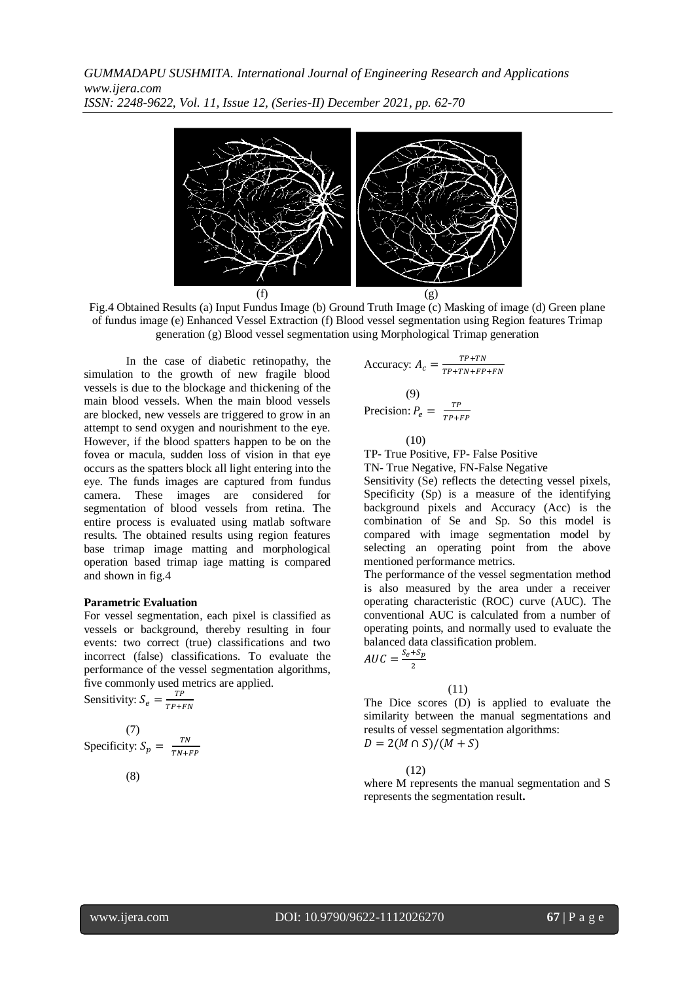

Fig.4 Obtained Results (a) Input Fundus Image (b) Ground Truth Image (c) Masking of image (d) Green plane of fundus image (e) Enhanced Vessel Extraction (f) Blood vessel segmentation using Region features Trimap generation (g) Blood vessel segmentation using Morphological Trimap generation

In the case of diabetic retinopathy, the simulation to the growth of new fragile blood vessels is due to the blockage and thickening of the main blood vessels. When the main blood vessels are blocked, new vessels are triggered to grow in an attempt to send oxygen and nourishment to the eye. However, if the blood spatters happen to be on the fovea or macula, sudden loss of vision in that eye occurs as the spatters block all light entering into the eye. The funds images are captured from fundus camera. These images are considered for segmentation of blood vessels from retina. The entire process is evaluated using matlab software results. The obtained results using region features base trimap image matting and morphological operation based trimap iage matting is compared and shown in fig.4

#### **Parametric Evaluation**

For vessel segmentation, each pixel is classified as vessels or background, thereby resulting in four events: two correct (true) classifications and two incorrect (false) classifications. To evaluate the performance of the vessel segmentation algorithms, five commonly used metrics are applied.

Sensitivity:  $S_e = \frac{T}{T}$ T

(7)   
Specificity: 
$$
S_p = \frac{TN}{TN + FP}
$$

(8)

Accuracy: 
$$
A_c = \frac{TP+TN}{TP+TN+FP+FN}
$$
  
(9)  
Precision:  $P_e = \frac{TP}{TP+FP}$ 

(10)

TP- True Positive, FP- False Positive

TN- True Negative, FN-False Negative

Sensitivity (Se) reflects the detecting vessel pixels, Specificity (Sp) is a measure of the identifying background pixels and Accuracy (Acc) is the combination of Se and Sp. So this model is compared with image segmentation model by selecting an operating point from the above mentioned performance metrics.

The performance of the vessel segmentation method is also measured by the area under a receiver operating characteristic (ROC) curve (AUC). The conventional AUC is calculated from a number of operating points, and normally used to evaluate the balanced data classification problem.  $AUC = \frac{S}{A}$ 

(11)

The Dice scores (D) is applied to evaluate the similarity between the manual segmentations and results of vessel segmentation algorithms:  $D = 2(M \cap S)/(M + S)$ 

(12)

 $\overline{\mathbf{c}}$ 

where M represents the manual segmentation and S represents the segmentation result**.**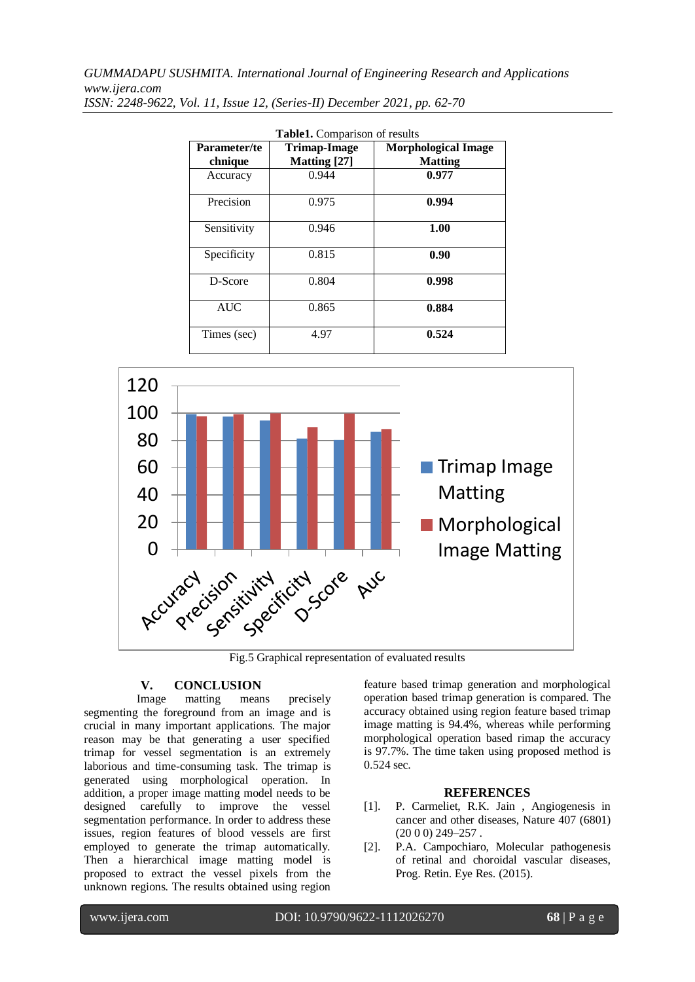*GUMMADAPU SUSHMITA. International Journal of Engineering Research and Applications www.ijera.com*

| Table1. Comparison of results |                                     |                                              |  |
|-------------------------------|-------------------------------------|----------------------------------------------|--|
| Parameter/te<br>chnique       | Trimap-Image<br><b>Matting</b> [27] | <b>Morphological Image</b><br><b>Matting</b> |  |
| Accuracy                      | 0.944                               | 0.977                                        |  |
| Precision                     | 0.975                               | 0.994                                        |  |
| Sensitivity                   | 0.946                               | 1.00                                         |  |
| Specificity                   | 0.815                               | 0.90                                         |  |
| D-Score                       | 0.804                               | 0.998                                        |  |
| <b>AUC</b>                    | 0.865                               | 0.884                                        |  |
| Times (sec)                   | 4.97                                | 0.524                                        |  |

*ISSN: 2248-9622, Vol. 11, Issue 12, (Series-II) December 2021, pp. 62-70*



Fig.5 Graphical representation of evaluated results

# **V. CONCLUSION**

Image matting means precisely segmenting the foreground from an image and is crucial in many important applications. The major reason may be that generating a user specified trimap for vessel segmentation is an extremely laborious and time-consuming task. The trimap is generated using morphological operation. In addition, a proper image matting model needs to be designed carefully to improve the vessel segmentation performance. In order to address these issues, region features of blood vessels are first employed to generate the trimap automatically. Then a hierarchical image matting model is proposed to extract the vessel pixels from the unknown regions. The results obtained using region feature based trimap generation and morphological operation based trimap generation is compared. The accuracy obtained using region feature based trimap image matting is 94.4%, whereas while performing morphological operation based rimap the accuracy is 97.7%. The time taken using proposed method is 0.524 sec.

## **REFERENCES**

- [1]. P. Carmeliet, R.K. Jain , Angiogenesis in cancer and other diseases, Nature 407 (6801)  $(2000)$  249-257.
- [2]. P.A. Campochiaro, Molecular pathogenesis of retinal and choroidal vascular diseases, Prog. Retin. Eye Res. (2015).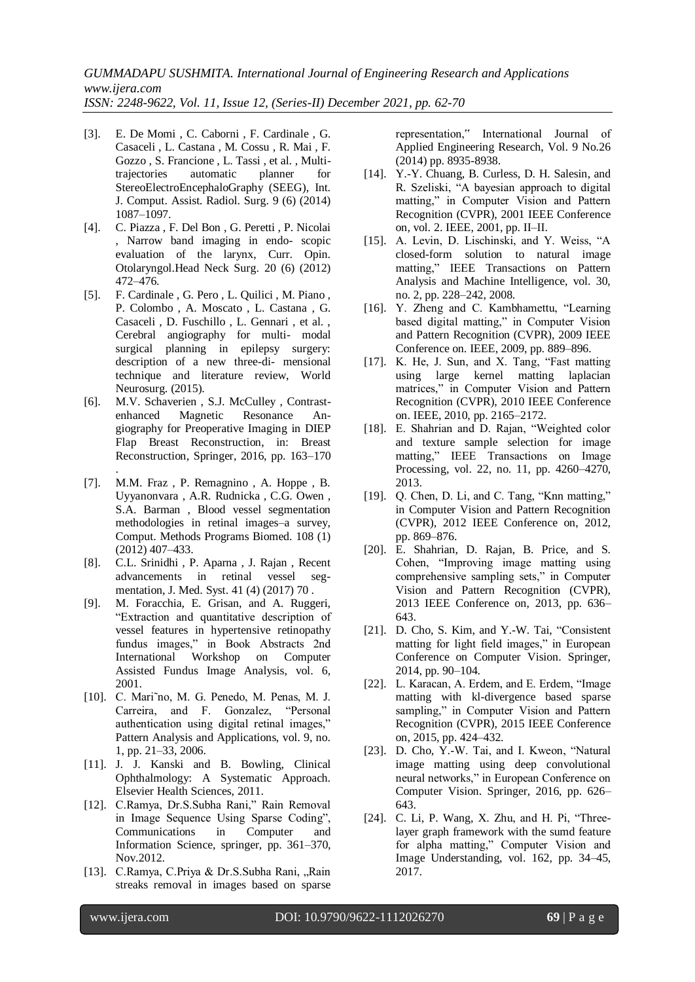- [3]. E. De Momi , C. Caborni , F. Cardinale , G. Casaceli , L. Castana , M. Cossu , R. Mai , F. Gozzo , S. Francione , L. Tassi , et al. , Multitrajectories automatic planner for StereoElectroEncephaloGraphy (SEEG), Int. J. Comput. Assist. Radiol. Surg. 9 (6) (2014) 1087–1097.
- [4]. C. Piazza , F. Del Bon , G. Peretti , P. Nicolai , Narrow band imaging in endo- scopic evaluation of the larynx, Curr. Opin. Otolaryngol.Head Neck Surg. 20 (6) (2012) 472–476.
- [5]. F. Cardinale , G. Pero , L. Quilici , M. Piano , P. Colombo , A. Moscato , L. Castana , G. Casaceli , D. Fuschillo , L. Gennari , et al. , Cerebral angiography for multi- modal surgical planning in epilepsy surgery: description of a new three-di- mensional technique and literature review, World Neurosurg. (2015).
- [6]. M.V. Schaverien, S.J. McCulley, Contrastenhanced Magnetic Resonance Angiography for Preoperative Imaging in DIEP Flap Breast Reconstruction, in: Breast Reconstruction, Springer, 2016, pp. 163–170
- . [7]. M.M. Fraz , P. Remagnino , A. Hoppe , B. Uyyanonvara , A.R. Rudnicka , C.G. Owen , S.A. Barman , Blood vessel segmentation methodologies in retinal images–a survey, Comput. Methods Programs Biomed. 108 (1) (2012) 407–433.
- [8]. C.L. Srinidhi , P. Aparna , J. Rajan , Recent advancements in retinal vessel segmentation, J. Med. Syst. 41 (4) (2017) 70 .
- [9]. M. Foracchia, E. Grisan, and A. Ruggeri, "Extraction and quantitative description of vessel features in hypertensive retinopathy fundus images," in Book Abstracts 2nd International Workshop on Computer Assisted Fundus Image Analysis, vol. 6, 2001.
- [10]. C. Mari˜no, M. G. Penedo, M. Penas, M. J. Carreira, and F. Gonzalez, "Personal authentication using digital retinal images," Pattern Analysis and Applications, vol. 9, no. 1, pp. 21–33, 2006.
- [11]. J. J. Kanski and B. Bowling, Clinical Ophthalmology: A Systematic Approach. Elsevier Health Sciences, 2011.
- [12]. C.Ramya, Dr.S.Subha Rani," Rain Removal in Image Sequence Using Sparse Coding", Communications in Computer and Information Science, springer, pp. 361–370, Nov.2012.
- [13]. C.Ramya, C.Priya & Dr.S.Subha Rani, "Rain streaks removal in images based on sparse

representation," International Journal of Applied Engineering Research, Vol. 9 No.26 (2014) pp. 8935-8938.

- [14]. Y.-Y. Chuang, B. Curless, D. H. Salesin, and R. Szeliski, "A bayesian approach to digital matting," in Computer Vision and Pattern Recognition (CVPR), 2001 IEEE Conference on, vol. 2. IEEE, 2001, pp. II–II.
- [15]. A. Levin, D. Lischinski, and Y. Weiss, "A closed-form solution to natural image matting," IEEE Transactions on Pattern Analysis and Machine Intelligence, vol. 30, no. 2, pp. 228–242, 2008.
- [16]. Y. Zheng and C. Kambhamettu, "Learning based digital matting," in Computer Vision and Pattern Recognition (CVPR), 2009 IEEE Conference on. IEEE, 2009, pp. 889–896.
- [17]. K. He, J. Sun, and X. Tang, "Fast matting using large kernel matting laplacian matrices," in Computer Vision and Pattern Recognition (CVPR), 2010 IEEE Conference on. IEEE, 2010, pp. 2165–2172.
- [18]. E. Shahrian and D. Rajan, "Weighted color and texture sample selection for image matting," IEEE Transactions on Image Processing, vol. 22, no. 11, pp. 4260–4270, 2013.
- [19]. Q. Chen, D. Li, and C. Tang, "Knn matting," in Computer Vision and Pattern Recognition (CVPR), 2012 IEEE Conference on, 2012, pp. 869–876.
- [20]. E. Shahrian, D. Rajan, B. Price, and S. Cohen, "Improving image matting using comprehensive sampling sets," in Computer Vision and Pattern Recognition (CVPR), 2013 IEEE Conference on, 2013, pp. 636– 643.
- [21]. D. Cho, S. Kim, and Y.-W. Tai, "Consistent matting for light field images," in European Conference on Computer Vision. Springer, 2014, pp. 90–104.
- [22]. L. Karacan, A. Erdem, and E. Erdem, "Image matting with kl-divergence based sparse sampling," in Computer Vision and Pattern Recognition (CVPR), 2015 IEEE Conference on, 2015, pp. 424–432.
- [23]. D. Cho, Y.-W. Tai, and I. Kweon, "Natural image matting using deep convolutional neural networks," in European Conference on Computer Vision. Springer, 2016, pp. 626– 643.
- [24]. C. Li, P. Wang, X. Zhu, and H. Pi, "Threelayer graph framework with the sumd feature for alpha matting," Computer Vision and Image Understanding, vol. 162, pp. 34–45, 2017.